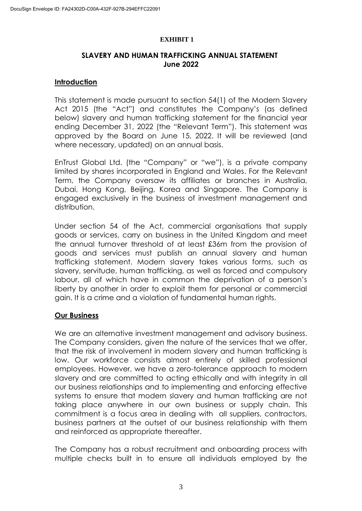#### **EXHIBIT 1**

# **SLAVERY AND HUMAN TRAFFICKING ANNUAL STATEMENT June 2022**

### **Introduction**

This statement is made pursuant to section 54(1) of the Modern Slavery Act 2015 (the "Act") and constitutes the Company's (as defined below) slavery and human trafficking statement for the financial year ending December 31, 2022 (the "Relevant Term"). This statement was approved by the Board on June 15, 2022. It will be reviewed (and where necessary, updated) on an annual basis.

EnTrust Global Ltd. (the "Company" or "we"), is a private company limited by shares incorporated in England and Wales. For the Relevant Term, the Company oversaw its affiliates or branches in Australia, Dubai, Hong Kong, Beijing, Korea and Singapore. The Company is engaged exclusively in the business of investment management and distribution.

Under section 54 of the Act, commercial organisations that supply goods or services, carry on business in the United Kingdom and meet the annual turnover threshold of at least £36m from the provision of goods and services must publish an annual slavery and human trafficking statement. Modern slavery takes various forms, such as slavery, servitude, human trafficking, as well as forced and compulsory labour, all of which have in common the deprivation of a person's liberty by another in order to exploit them for personal or commercial gain. It is a crime and a violation of fundamental human rights.

# **Our Business**

We are an alternative investment management and advisory business. The Company considers, given the nature of the services that we offer, that the risk of involvement in modern slavery and human trafficking is low. Our workforce consists almost entirely of skilled professional employees. However, we have a zero-tolerance approach to modern slavery and are committed to acting ethically and with integrity in all our business relationships and to implementing and enforcing effective systems to ensure that modern slavery and human trafficking are not taking place anywhere in our own business or supply chain. This commitment is a focus area in dealing with all suppliers, contractors, business partners at the outset of our business relationship with them and reinforced as appropriate thereafter.

The Company has a robust recruitment and onboarding process with multiple checks built in to ensure all individuals employed by the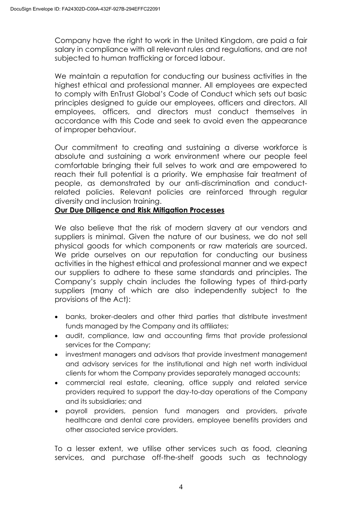Company have the right to work in the United Kingdom, are paid a fair salary in compliance with all relevant rules and regulations, and are not subjected to human trafficking or forced labour.

We maintain a reputation for conducting our business activities in the highest ethical and professional manner. All employees are expected to comply with EnTrust Global's Code of Conduct which sets out basic principles designed to guide our employees, officers and directors. All employees, officers, and directors must conduct themselves in accordance with this Code and seek to avoid even the appearance of improper behaviour.

Our commitment to creating and sustaining a diverse workforce is absolute and sustaining a work environment where our people feel comfortable bringing their full selves to work and are empowered to reach their full potential is a priority. We emphasise fair treatment of people, as demonstrated by our anti-discrimination and conductrelated policies. Relevant policies are reinforced through regular diversity and inclusion training.

# **Our Due Diligence and Risk Mitigation Processes**

We also believe that the risk of modern slavery at our vendors and suppliers is minimal. Given the nature of our business, we do not sell physical goods for which components or raw materials are sourced. We pride ourselves on our reputation for conducting our business activities in the highest ethical and professional manner and we expect our suppliers to adhere to these same standards and principles. The Company's supply chain includes the following types of third-party suppliers (many of which are also independently subject to the provisions of the Act):

- banks, broker-dealers and other third parties that distribute investment funds managed by the Company and its affiliates;
- audit, compliance, law and accounting firms that provide professional services for the Company;
- investment managers and advisors that provide investment management and advisory services for the institutional and high net worth individual clients for whom the Company provides separately managed accounts;
- commercial real estate, cleaning, office supply and related service providers required to support the day-to-day operations of the Company and its subsidiaries; and
- payroll providers, pension fund managers and providers, private healthcare and dental care providers, employee benefits providers and other associated service providers.

To a lesser extent, we utilise other services such as food, cleaning services, and purchase off-the-shelf goods such as technology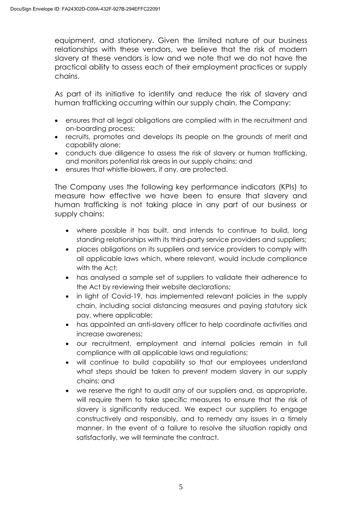equipment, and stationery. Given the limited nature of our business relationships with these vendors, we believe that the risk of modern slavery at these vendors is low and we note that we do not have the practical ability to assess each of their employment practices or supply chains.

As part of its initiative to identify and reduce the risk of slavery and human trafficking occurring within our supply chain, the Company:

- ensures that all legal obligations are complied with in the recruitment and on-boarding process;
- recruits, promotes and develops its people on the grounds of merit and capability alone;
- conducts due diligence to assess the risk of slavery or human trafficking, and monitors potential risk areas in our supply chains; and
- ensures that whistle-blowers, if any, are protected.

The Company uses the following key performance indicators (KPIs) to measure how effective we have been to ensure that slavery and human trafficking is not taking place in any part of our business or supply chains:

- where possible it has built, and intends to continue to build, long standing relationships with its third-party service providers and suppliers;
- places obligations on its suppliers and service providers to comply with all applicable laws which, where relevant, would include compliance with the Act;
- has analysed a sample set of suppliers to validate their adherence to the Act by reviewing their website declarations;
- in light of Covid-19, has implemented relevant policies in the supply chain, including social distancing measures and paying statutory sick pay, where applicable;
- has appointed an anti-slavery officer to help coordinate activities and increase awareness;
- our recruitment, employment and internal policies remain in full compliance with all applicable laws and regulations;
- will continue to build capability so that our employees understand what steps should be taken to prevent modern slavery in our supply chains; and
- we reserve the right to audit any of our suppliers and, as appropriate, will require them to take specific measures to ensure that the risk of slavery is significantly reduced. We expect our suppliers to engage constructively and responsibly, and to remedy any issues in a timely manner. In the event of a failure to resolve the situation rapidly and satisfactorily, we will terminate the contract.